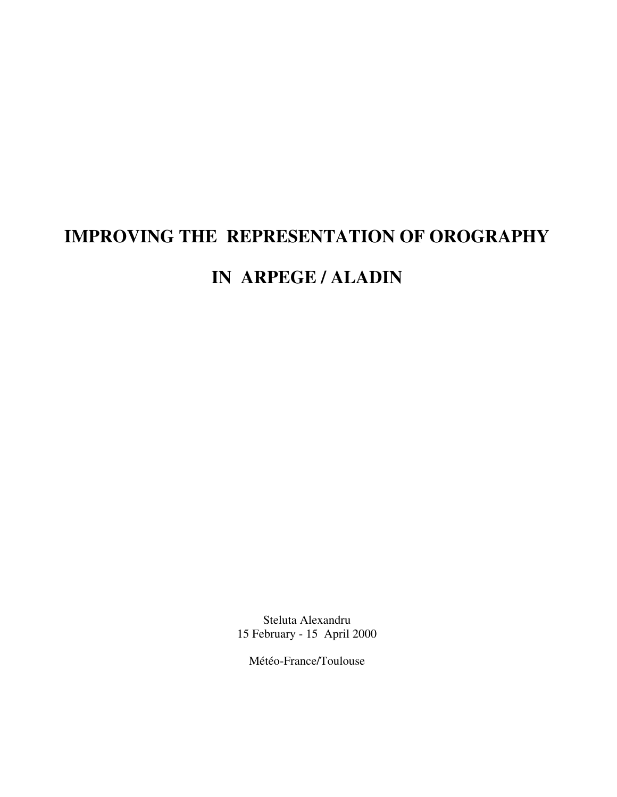# **IMPROVING THE REPRESENTATION OF OROGRAPHY**

## **IN ARPEGE / ALADIN**

Steluta Alexandru 15 February - 15 April 2000

Météo-France/Toulouse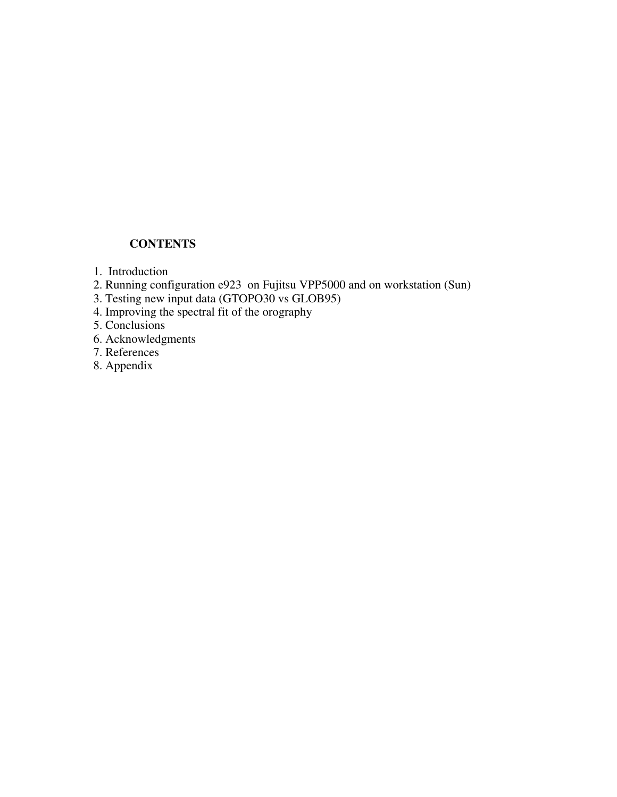## **CONTENTS**

- 1. Introduction
- 2. Running configuration e923 on Fujitsu VPP5000 and on workstation (Sun)
- 3. Testing new input data (GTOPO30 vs GLOB95)
- 4. Improving the spectral fit of the orography
- 5. Conclusions
- 6. Acknowledgments
- 7. References
- 8. Appendix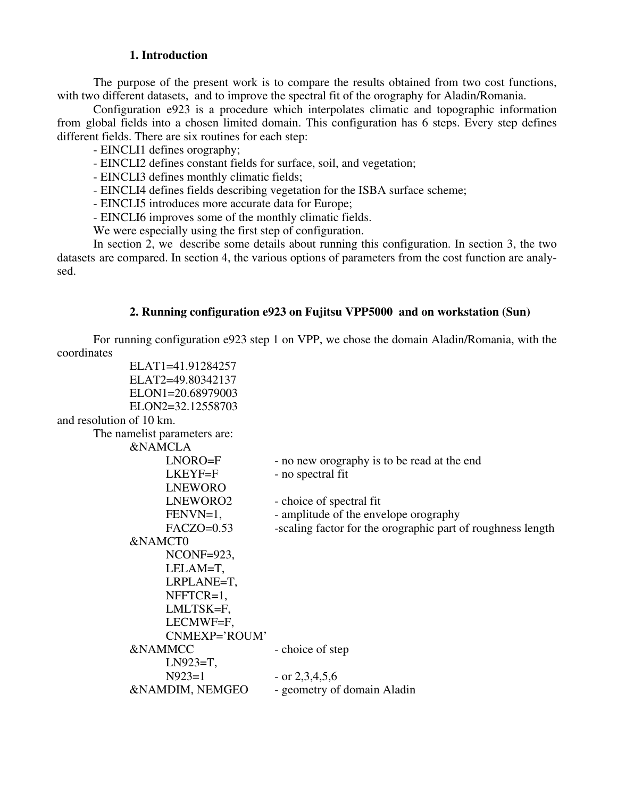### **1. Introduction**

The purpose of the present work is to compare the results obtained from two cost functions, with two different datasets, and to improve the spectral fit of the orography for Aladin/Romania.

Configuration e923 is a procedure which interpolates climatic and topographic information from global fields into a chosen limited domain. This configuration has 6 steps. Every step defines different fields. There are six routines for each step:

- EINCLI1 defines orography;

- EINCLI2 defines constant fields for surface, soil, and vegetation;

- EINCLI3 defines monthly climatic fields;

- EINCLI4 defines fields describing vegetation for the ISBA surface scheme;

- EINCLI5 introduces more accurate data for Europe;

- EINCLI6 improves some of the monthly climatic fields.

We were especially using the first step of configuration.

In section 2, we describe some details about running this configuration. In section 3, the two datasets are compared. In section 4, the various options of parameters from the cost function are analysed.

### **2. Running configuration e923 on Fujitsu VPP5000 and on workstation (Sun)**

For running configuration e923 step 1 on VPP, we chose the domain Aladin/Romania, with the coordinates

```
ELAT1=41.91284257
           ELAT2=49.80342137
           ELON1=20.68979003
           ELON2=32.12558703
and resolution of 10 km.
     The namelist parameters are:
           &NAMCLA
                 LNORO=F - no new orography is to be read at the end
                 LKEYF = F - no spectral fit
                 LNEWORO
                 LNEWORO2 - choice of spectral fit
                 FENVN=1, \blacksquare - amplitude of the envelope orography
                 FACZO=0.53 -scaling factor for the orographic part of roughness length
           &NAMCT0
                 NCONF=923,
                 LELAM=T,
                 LRPLANE=T,
                 NFFTCR=1,
                 LMLTSK=F,
                 LECMWF=F,
                 CNMEXP='ROUM'
           &NAMMCC - choice of step
                 LN923=T,<br>N923=1
                                   - or 2,3,4,5,6
           &NAMDIM, NEMGEO - geometry of domain Aladin
```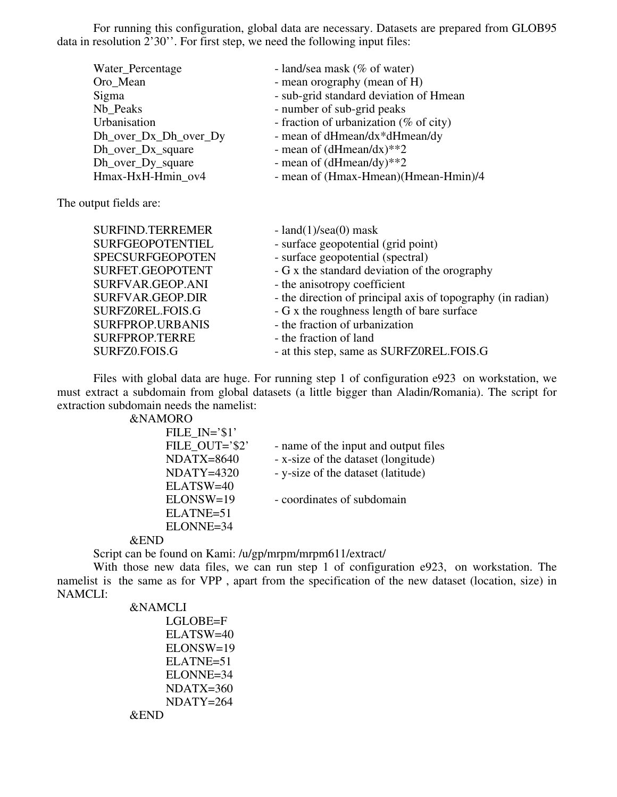For running this configuration, global data are necessary. Datasets are prepared from GLOB95 data in resolution 2'30''. For first step, we need the following input files:

| Water_Percentage      | - land/sea mask (% of water)           |
|-----------------------|----------------------------------------|
| Oro_Mean              | - mean orography (mean of H)           |
| Sigma                 | - sub-grid standard deviation of Hmean |
| Nb Peaks              | - number of sub-grid peaks             |
| Urbanisation          | - fraction of urbanization (% of city) |
| Dh_over_Dx_Dh_over_Dy | - mean of dHmean/dx*dHmean/dy          |
| Dh_over_Dx_square     | - mean of $(dHmean/dx)$ **2            |
| Dh_over_Dy_square     | - mean of $(dHmean/dy)$ **2            |
| Hmax-HxH-Hmin ov4     | - mean of (Hmax-Hmean)(Hmean-Hmin)/4   |
|                       |                                        |

The output fields are:

| <b>SURFIND.TERREMER</b><br><b>SURFGEOPOTENTIEL</b> | - land $(1)$ /sea $(0)$ mask<br>- surface geopotential (grid point) |
|----------------------------------------------------|---------------------------------------------------------------------|
| <b>SPECSURFGEOPOTEN</b>                            | - surface geopotential (spectral)                                   |
| SURFET.GEOPOTENT                                   | - G x the standard deviation of the orography                       |
| SURFVAR.GEOP.ANI                                   | - the anisotropy coefficient                                        |
| SURFVAR.GEOP.DIR                                   | - the direction of principal axis of topography (in radian)         |
| SURFZ0REL.FOIS.G                                   | - G x the roughness length of bare surface                          |
| SURFPROP.URBANIS                                   | - the fraction of urbanization                                      |
| <b>SURFPROP.TERRE</b>                              | - the fraction of land                                              |
| SURFZ0.FOIS.G                                      | - at this step, same as SURFZ0REL.FOIS.G                            |

Files with global data are huge. For running step 1 of configuration e923 on workstation, we must extract a subdomain from global datasets (a little bigger than Aladin/Romania). The script for extraction subdomain needs the namelist:

&NAMORO

| FILE $IN = \$ 1 |                                      |
|-----------------|--------------------------------------|
| FILE OUT='\$2'  | - name of the input and output files |
| $NDATX=8640$    | - x-size of the dataset (longitude)  |
| $NDATY=4320$    | - y-size of the dataset (latitude)   |
| ELATSW=40       |                                      |
| ELONSW=19       | - coordinates of subdomain           |
| ELATNE=51       |                                      |
| ELONNE=34       |                                      |
|                 |                                      |

#### &END

Script can be found on Kami: /u/gp/mrpm/mrpm611/extract/

With those new data files, we can run step 1 of configuration e923, on workstation. The namelist is the same as for VPP , apart from the specification of the new dataset (location, size) in NAMCLI:

```
&NAMCLI
    LGLOBE=F
    ELATSW=40
    ELONSW=19
    ELATNE=51
    ELONNE=34
    NDATX=360
    NDATY=264
&END
```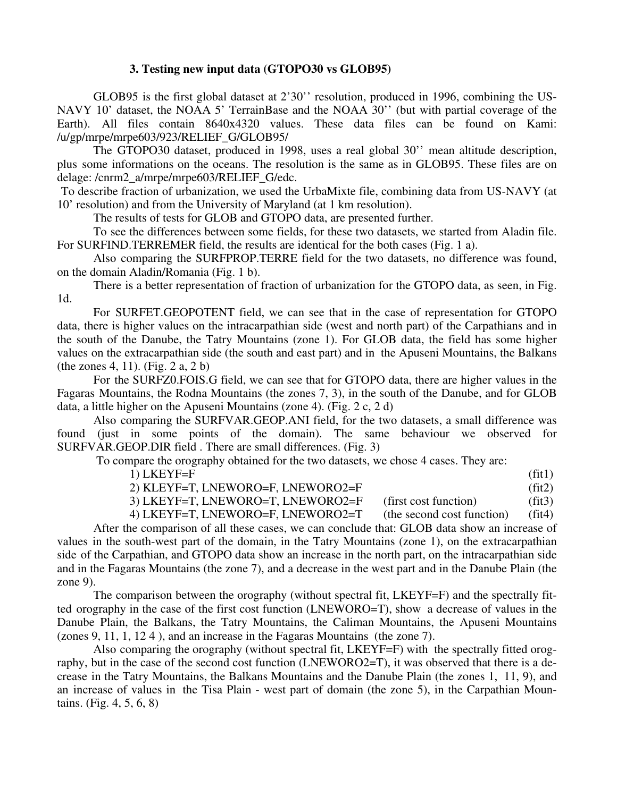### **3. Testing new input data (GTOPO30 vs GLOB95)**

GLOB95 is the first global dataset at 2'30'' resolution, produced in 1996, combining the US-NAVY 10' dataset, the NOAA 5' TerrainBase and the NOAA 30'' (but with partial coverage of the Earth). All files contain 8640x4320 values. These data files can be found on Kami: /u/gp/mrpe/mrpe603/923/RELIEF\_G/GLOB95/

The GTOPO30 dataset, produced in 1998, uses a real global 30'' mean altitude description, plus some informations on the oceans. The resolution is the same as in GLOB95. These files are on delage: /cnrm2\_a/mrpe/mrpe603/RELIEF\_G/edc.

To describe fraction of urbanization, we used the UrbaMixte file, combining data from US-NAVY (at 10' resolution) and from the University of Maryland (at 1 km resolution).

The results of tests for GLOB and GTOPO data, are presented further.

To see the differences between some fields, for these two datasets, we started from Aladin file. For SURFIND.TERREMER field, the results are identical for the both cases (Fig. 1 a).

Also comparing the SURFPROP.TERRE field for the two datasets, no difference was found, on the domain Aladin/Romania (Fig. 1 b).

There is a better representation of fraction of urbanization for the GTOPO data, as seen, in Fig. 1d.

For SURFET.GEOPOTENT field, we can see that in the case of representation for GTOPO data, there is higher values on the intracarpathian side (west and north part) of the Carpathians and in the south of the Danube, the Tatry Mountains (zone 1). For GLOB data, the field has some higher values on the extracarpathian side (the south and east part) and in the Apuseni Mountains, the Balkans (the zones 4, 11). (Fig. 2 a, 2 b)

For the SURFZ0.FOIS.G field, we can see that for GTOPO data, there are higher values in the Fagaras Mountains, the Rodna Mountains (the zones 7, 3), in the south of the Danube, and for GLOB data, a little higher on the Apuseni Mountains (zone 4). (Fig. 2 c, 2 d)

Also comparing the SURFVAR.GEOP.ANI field, for the two datasets, a small difference was found (just in some points of the domain). The same behaviour we observed for SURFVAR.GEOP.DIR field . There are small differences. (Fig. 3)

To compare the orography obtained for the two datasets, we chose 4 cases. They are:

1) LKEYF=F (fit1)

2) KLEYF=T, LNEWORO=F, LNEWORO2=F (fit2)

3) LKEYF=T, LNEWORO=T, LNEWORO2=F (first cost function) (fit3)

4) LKEYF=T, LNEWORO=F, LNEWORO2=T (the second cost function) (fit4)

After the comparison of all these cases, we can conclude that: GLOB data show an increase of values in the south-west part of the domain, in the Tatry Mountains (zone 1), on the extracarpathian side of the Carpathian, and GTOPO data show an increase in the north part, on the intracarpathian side and in the Fagaras Mountains (the zone 7), and a decrease in the west part and in the Danube Plain (the zone 9).

The comparison between the orography (without spectral fit, LKEYF=F) and the spectrally fitted orography in the case of the first cost function (LNEWORO=T), show a decrease of values in the Danube Plain, the Balkans, the Tatry Mountains, the Caliman Mountains, the Apuseni Mountains (zones 9, 11, 1, 12 4 ), and an increase in the Fagaras Mountains (the zone 7).

Also comparing the orography (without spectral fit, LKEYF=F) with the spectrally fitted orography, but in the case of the second cost function (LNEWORO2=T), it was observed that there is a decrease in the Tatry Mountains, the Balkans Mountains and the Danube Plain (the zones 1, 11, 9), and an increase of values in the Tisa Plain - west part of domain (the zone 5), in the Carpathian Mountains. (Fig. 4, 5, 6, 8)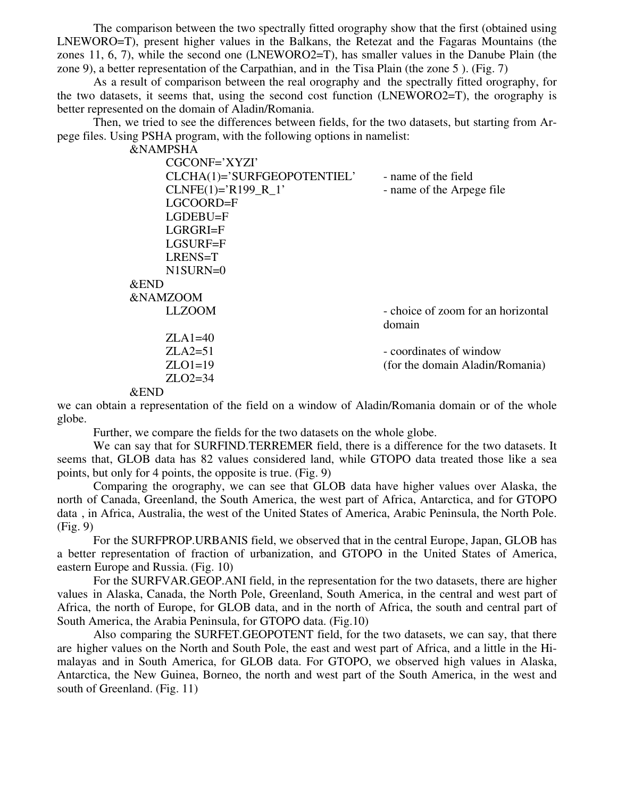The comparison between the two spectrally fitted orography show that the first (obtained using LNEWORO=T), present higher values in the Balkans, the Retezat and the Fagaras Mountains (the zones 11, 6, 7), while the second one (LNEWORO2=T), has smaller values in the Danube Plain (the zone 9), a better representation of the Carpathian, and in the Tisa Plain (the zone 5 ). (Fig. 7)

As a result of comparison between the real orography and the spectrally fitted orography, for the two datasets, it seems that, using the second cost function (LNEWORO2=T), the orography is better represented on the domain of Aladin/Romania.

Then, we tried to see the differences between fields, for the two datasets, but starting from Arpege files. Using PSHA program, with the following options in namelist:

&NAMPSHA

| CGCONF='XYZI'               |                                    |
|-----------------------------|------------------------------------|
| CLCHA(1)='SURFGEOPOTENTIEL' | - name of the field                |
| $CLNFE(1)=R199_R1'$         | - name of the Arpege file          |
| LGCOORD=F                   |                                    |
| $LGDEBU = F$                |                                    |
| LGRGRI=F                    |                                    |
| LGSURF=F                    |                                    |
| LRENS=T                     |                                    |
| N1SURN=0                    |                                    |
| $&$ END                     |                                    |
| <b>&amp;NAMZOOM</b>         |                                    |
| <b>LLZOOM</b>               | - choice of zoom for an horizontal |
|                             | domain                             |
| $ZLA1=40$                   |                                    |
| $ZLA2=51$                   | - coordinates of window            |
| $ZLO1=19$                   | (for the domain Aladin/Romania)    |
| $ZLO2=34$                   |                                    |
| $0.$ ENID                   |                                    |

&END

we can obtain a representation of the field on a window of Aladin/Romania domain or of the whole globe.

Further, we compare the fields for the two datasets on the whole globe.

We can say that for SURFIND.TERREMER field, there is a difference for the two datasets. It seems that, GLOB data has 82 values considered land, while GTOPO data treated those like a sea points, but only for 4 points, the opposite is true. (Fig. 9)

Comparing the orography, we can see that GLOB data have higher values over Alaska, the north of Canada, Greenland, the South America, the west part of Africa, Antarctica, and for GTOPO data , in Africa, Australia, the west of the United States of America, Arabic Peninsula, the North Pole. (Fig. 9)

For the SURFPROP.URBANIS field, we observed that in the central Europe, Japan, GLOB has a better representation of fraction of urbanization, and GTOPO in the United States of America, eastern Europe and Russia. (Fig. 10)

For the SURFVAR.GEOP.ANI field, in the representation for the two datasets, there are higher values in Alaska, Canada, the North Pole, Greenland, South America, in the central and west part of Africa, the north of Europe, for GLOB data, and in the north of Africa, the south and central part of South America, the Arabia Peninsula, for GTOPO data. (Fig.10)

Also comparing the SURFET.GEOPOTENT field, for the two datasets, we can say, that there are higher values on the North and South Pole, the east and west part of Africa, and a little in the Himalayas and in South America, for GLOB data. For GTOPO, we observed high values in Alaska, Antarctica, the New Guinea, Borneo, the north and west part of the South America, in the west and south of Greenland. (Fig. 11)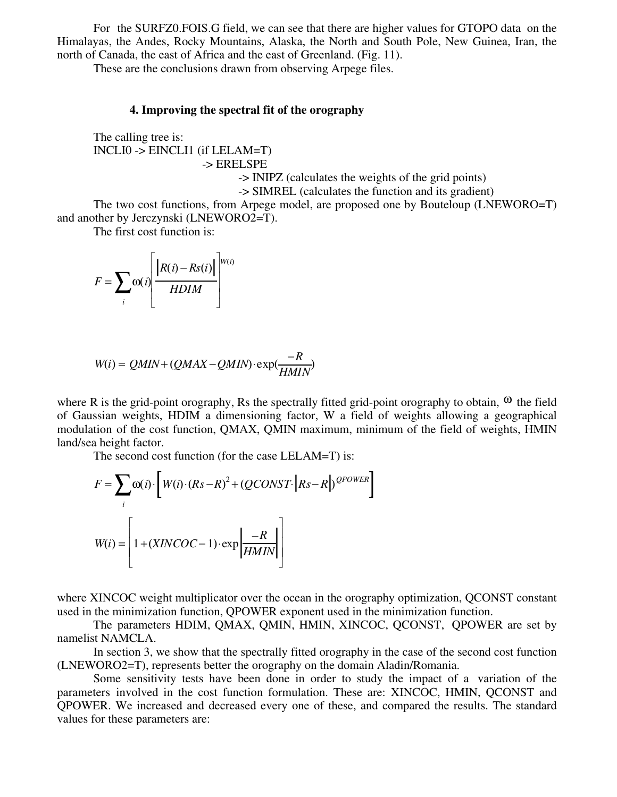For the SURFZ0.FOIS.G field, we can see that there are higher values for GTOPO data on the Himalayas, the Andes, Rocky Mountains, Alaska, the North and South Pole, New Guinea, Iran, the north of Canada, the east of Africa and the east of Greenland. (Fig. 11).

These are the conclusions drawn from observing Arpege files.

#### **4. Improving the spectral fit of the orography**

The calling tree is: INCLI0 -> EINCLI1 (if LELAM=T) -> ERELSPE

-> INIPZ (calculates the weights of the grid points)

-> SIMREL (calculates the function and its gradient)

The two cost functions, from Arpege model, are proposed one by Bouteloup (LNEWORO=T) and another by Jerczynski (LNEWORO2=T).

The first cost function is:

$$
F = \sum_{i} \omega(i) \left[ \frac{\left|R(i) - Rs(i)\right|}{H DIM} \right]^{W(i)}
$$

$$
W(i) = QMIN + (QMAX - QMIN) \cdot \exp(\frac{-R}{HMIN})
$$

where R is the grid-point orography, Rs the spectrally fitted grid-point orography to obtain,  $\omega$  the field of Gaussian weights, HDIM a dimensioning factor, W a field of weights allowing a geographical modulation of the cost function, QMAX, QMIN maximum, minimum of the field of weights, HMIN land/sea height factor.

The second cost function (for the case LELAM=T) is:

$$
F = \sum_{i} \omega(i) \cdot \left[ W(i) \cdot (Rs - R)^{2} + (QCONST \cdot | Rs - R) \right]^{QPOWER}
$$
  

$$
W(i) = \left[ 1 + (XINCOC - 1) \cdot \exp\left[\frac{-R}{HMIN}\right] \right]
$$

where XINCOC weight multiplicator over the ocean in the orography optimization, OCONST constant used in the minimization function, QPOWER exponent used in the minimization function.

The parameters HDIM, QMAX, QMIN, HMIN, XINCOC, QCONST, QPOWER are set by namelist NAMCLA.

In section 3, we show that the spectrally fitted orography in the case of the second cost function (LNEWORO2=T), represents better the orography on the domain Aladin/Romania.

Some sensitivity tests have been done in order to study the impact of a variation of the parameters involved in the cost function formulation. These are: XINCOC, HMIN, QCONST and QPOWER. We increased and decreased every one of these, and compared the results. The standard values for these parameters are: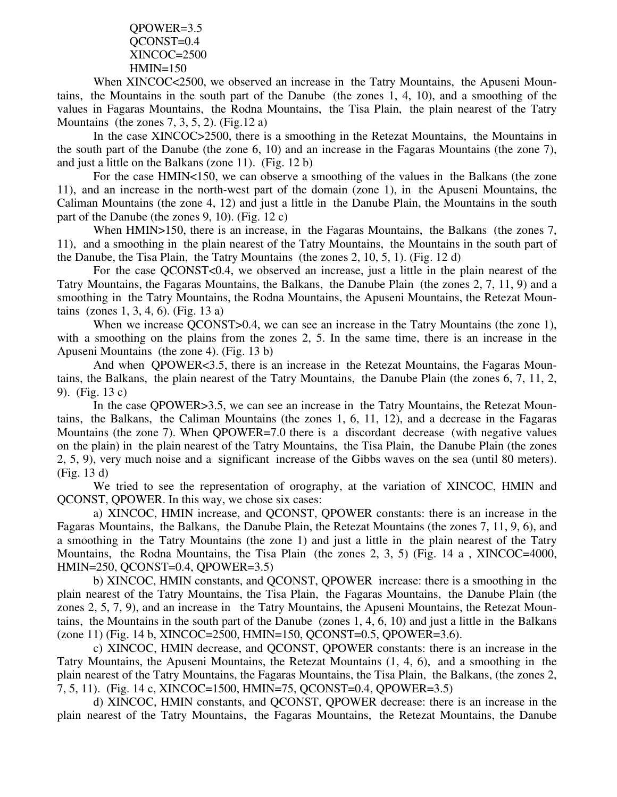QPOWER=3.5 QCONST=0.4 XINCOC=2500  $HMIN=150$ 

When XINCOC<2500, we observed an increase in the Tatry Mountains, the Apuseni Mountains, the Mountains in the south part of the Danube (the zones 1, 4, 10), and a smoothing of the values in Fagaras Mountains, the Rodna Mountains, the Tisa Plain, the plain nearest of the Tatry Mountains (the zones  $7, 3, 5, 2$ ). (Fig.12 a)

In the case XINCOC>2500, there is a smoothing in the Retezat Mountains, the Mountains in the south part of the Danube (the zone 6, 10) and an increase in the Fagaras Mountains (the zone 7), and just a little on the Balkans (zone 11). (Fig. 12 b)

For the case HMIN<150, we can observe a smoothing of the values in the Balkans (the zone 11), and an increase in the north-west part of the domain (zone 1), in the Apuseni Mountains, the Caliman Mountains (the zone 4, 12) and just a little in the Danube Plain, the Mountains in the south part of the Danube (the zones 9, 10). (Fig. 12 c)

When HMIN>150, there is an increase, in the Fagaras Mountains, the Balkans (the zones 7, 11), and a smoothing in the plain nearest of the Tatry Mountains, the Mountains in the south part of the Danube, the Tisa Plain, the Tatry Mountains (the zones 2, 10, 5, 1). (Fig. 12 d)

For the case QCONST<0.4, we observed an increase, just a little in the plain nearest of the Tatry Mountains, the Fagaras Mountains, the Balkans, the Danube Plain (the zones 2, 7, 11, 9) and a smoothing in the Tatry Mountains, the Rodna Mountains, the Apuseni Mountains, the Retezat Mountains (zones 1, 3, 4, 6). (Fig. 13 a)

When we increase QCONST>0.4, we can see an increase in the Tatry Mountains (the zone 1), with a smoothing on the plains from the zones 2, 5. In the same time, there is an increase in the Apuseni Mountains (the zone 4). (Fig. 13 b)

And when QPOWER<3.5, there is an increase in the Retezat Mountains, the Fagaras Mountains, the Balkans, the plain nearest of the Tatry Mountains, the Danube Plain (the zones 6, 7, 11, 2, 9). (Fig. 13 c)

In the case OPOWER>3.5, we can see an increase in the Tatry Mountains, the Retezat Mountains, the Balkans, the Caliman Mountains (the zones 1, 6, 11, 12), and a decrease in the Fagaras Mountains (the zone 7). When QPOWER=7.0 there is a discordant decrease (with negative values on the plain) in the plain nearest of the Tatry Mountains, the Tisa Plain, the Danube Plain (the zones 2, 5, 9), very much noise and a significant increase of the Gibbs waves on the sea (until 80 meters). (Fig. 13 d)

We tried to see the representation of orography, at the variation of XINCOC, HMIN and QCONST, QPOWER. In this way, we chose six cases:

a) XINCOC, HMIN increase, and QCONST, QPOWER constants: there is an increase in the Fagaras Mountains, the Balkans, the Danube Plain, the Retezat Mountains (the zones 7, 11, 9, 6), and a smoothing in the Tatry Mountains (the zone 1) and just a little in the plain nearest of the Tatry Mountains, the Rodna Mountains, the Tisa Plain (the zones 2, 3, 5) (Fig. 14 a , XINCOC=4000, HMIN=250, QCONST=0.4, QPOWER=3.5)

b) XINCOC, HMIN constants, and QCONST, QPOWER increase: there is a smoothing in the plain nearest of the Tatry Mountains, the Tisa Plain, the Fagaras Mountains, the Danube Plain (the zones 2, 5, 7, 9), and an increase in the Tatry Mountains, the Apuseni Mountains, the Retezat Mountains, the Mountains in the south part of the Danube (zones 1, 4, 6, 10) and just a little in the Balkans (zone 11) (Fig. 14 b, XINCOC=2500, HMIN=150, QCONST=0.5, QPOWER=3.6).

c) XINCOC, HMIN decrease, and QCONST, QPOWER constants: there is an increase in the Tatry Mountains, the Apuseni Mountains, the Retezat Mountains (1, 4, 6), and a smoothing in the plain nearest of the Tatry Mountains, the Fagaras Mountains, the Tisa Plain, the Balkans, (the zones 2, 7, 5, 11). (Fig. 14 c, XINCOC=1500, HMIN=75, QCONST=0.4, QPOWER=3.5)

d) XINCOC, HMIN constants, and QCONST, QPOWER decrease: there is an increase in the plain nearest of the Tatry Mountains, the Fagaras Mountains, the Retezat Mountains, the Danube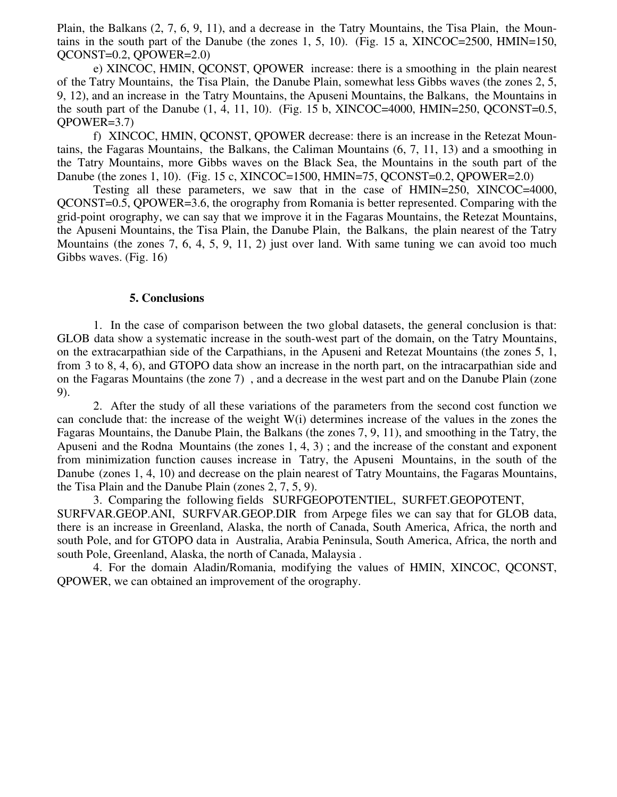Plain, the Balkans (2, 7, 6, 9, 11), and a decrease in the Tatry Mountains, the Tisa Plain, the Mountains in the south part of the Danube (the zones  $1, 5, 10$ ). (Fig. 15 a, XINCOC=2500, HMIN=150, QCONST=0.2, QPOWER=2.0)

e) XINCOC, HMIN, QCONST, QPOWER increase: there is a smoothing in the plain nearest of the Tatry Mountains, the Tisa Plain, the Danube Plain, somewhat less Gibbs waves (the zones 2, 5, 9, 12), and an increase in the Tatry Mountains, the Apuseni Mountains, the Balkans, the Mountains in the south part of the Danube  $(1, 4, 11, 10)$ . (Fig. 15 b, XINCOC=4000, HMIN=250, QCONST=0.5, QPOWER=3.7)

f) XINCOC, HMIN, QCONST, QPOWER decrease: there is an increase in the Retezat Mountains, the Fagaras Mountains, the Balkans, the Caliman Mountains (6, 7, 11, 13) and a smoothing in the Tatry Mountains, more Gibbs waves on the Black Sea, the Mountains in the south part of the Danube (the zones 1, 10). (Fig. 15 c, XINCOC=1500, HMIN=75, QCONST=0.2, QPOWER=2.0)

Testing all these parameters, we saw that in the case of HMIN=250, XINCOC=4000, QCONST=0.5, QPOWER=3.6, the orography from Romania is better represented. Comparing with the grid-point orography, we can say that we improve it in the Fagaras Mountains, the Retezat Mountains, the Apuseni Mountains, the Tisa Plain, the Danube Plain, the Balkans, the plain nearest of the Tatry Mountains (the zones 7, 6, 4, 5, 9, 11, 2) just over land. With same tuning we can avoid too much Gibbs waves. (Fig. 16)

#### **5. Conclusions**

1. In the case of comparison between the two global datasets, the general conclusion is that: GLOB data show a systematic increase in the south-west part of the domain, on the Tatry Mountains, on the extracarpathian side of the Carpathians, in the Apuseni and Retezat Mountains (the zones 5, 1, from 3 to 8, 4, 6), and GTOPO data show an increase in the north part, on the intracarpathian side and on the Fagaras Mountains (the zone 7) , and a decrease in the west part and on the Danube Plain (zone 9).

2. After the study of all these variations of the parameters from the second cost function we can conclude that: the increase of the weight W(i) determines increase of the values in the zones the Fagaras Mountains, the Danube Plain, the Balkans (the zones 7, 9, 11), and smoothing in the Tatry, the Apuseni and the Rodna Mountains (the zones 1, 4, 3) ; and the increase of the constant and exponent from minimization function causes increase in Tatry, the Apuseni Mountains, in the south of the Danube (zones 1, 4, 10) and decrease on the plain nearest of Tatry Mountains, the Fagaras Mountains, the Tisa Plain and the Danube Plain (zones 2, 7, 5, 9).

3. Comparing the following fields SURFGEOPOTENTIEL, SURFET.GEOPOTENT, SURFVAR.GEOP.ANI, SURFVAR.GEOP.DIR from Arpege files we can say that for GLOB data, there is an increase in Greenland, Alaska, the north of Canada, South America, Africa, the north and south Pole, and for GTOPO data in Australia, Arabia Peninsula, South America, Africa, the north and south Pole, Greenland, Alaska, the north of Canada, Malaysia .

4. For the domain Aladin/Romania, modifying the values of HMIN, XINCOC, QCONST, QPOWER, we can obtained an improvement of the orography.